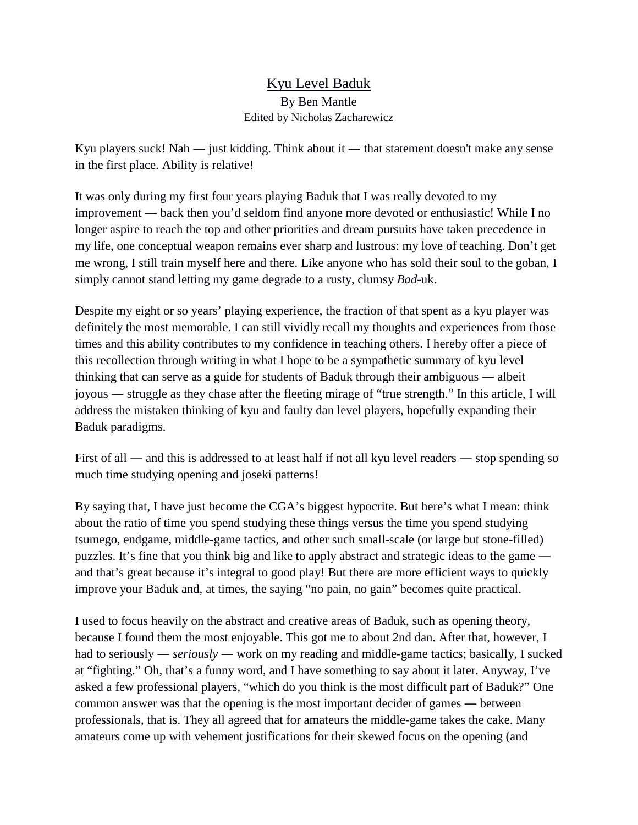## Kyu Level Baduk By Ben Mantle Edited by Nicholas Zacharewicz

Kyu players suck! Nah ― just kidding. Think about it ― that statement doesn't make any sense in the first place. Ability is relative!

It was only during my first four years playing Baduk that I was really devoted to my improvement ― back then you'd seldom find anyone more devoted or enthusiastic! While I no longer aspire to reach the top and other priorities and dream pursuits have taken precedence in my life, one conceptual weapon remains ever sharp and lustrous: my love of teaching. Don't get me wrong, I still train myself here and there. Like anyone who has sold their soul to the goban, I simply cannot stand letting my game degrade to a rusty, clumsy *Bad-*uk.

Despite my eight or so years' playing experience, the fraction of that spent as a kyu player was definitely the most memorable. I can still vividly recall my thoughts and experiences from those times and this ability contributes to my confidence in teaching others. I hereby offer a piece of this recollection through writing in what I hope to be a sympathetic summary of kyu level thinking that can serve as a guide for students of Baduk through their ambiguous ― albeit joyous ― struggle as they chase after the fleeting mirage of "true strength." In this article, I will address the mistaken thinking of kyu and faulty dan level players, hopefully expanding their Baduk paradigms.

First of all — and this is addressed to at least half if not all kyu level readers — stop spending so much time studying opening and joseki patterns!

By saying that, I have just become the CGA's biggest hypocrite. But here's what I mean: think about the ratio of time you spend studying these things versus the time you spend studying tsumego, endgame, middle-game tactics, and other such small-scale (or large but stone-filled) puzzles. It's fine that you think big and like to apply abstract and strategic ideas to the game ― and that's great because it's integral to good play! But there are more efficient ways to quickly improve your Baduk and, at times, the saying "no pain, no gain" becomes quite practical.

I used to focus heavily on the abstract and creative areas of Baduk, such as opening theory, because I found them the most enjoyable. This got me to about 2nd dan. After that, however, I had to seriously — *seriously* — work on my reading and middle-game tactics; basically, I sucked at "fighting." Oh, that's a funny word, and I have something to say about it later. Anyway, I've asked a few professional players, "which do you think is the most difficult part of Baduk?" One common answer was that the opening is the most important decider of games ― between professionals, that is. They all agreed that for amateurs the middle-game takes the cake. Many amateurs come up with vehement justifications for their skewed focus on the opening (and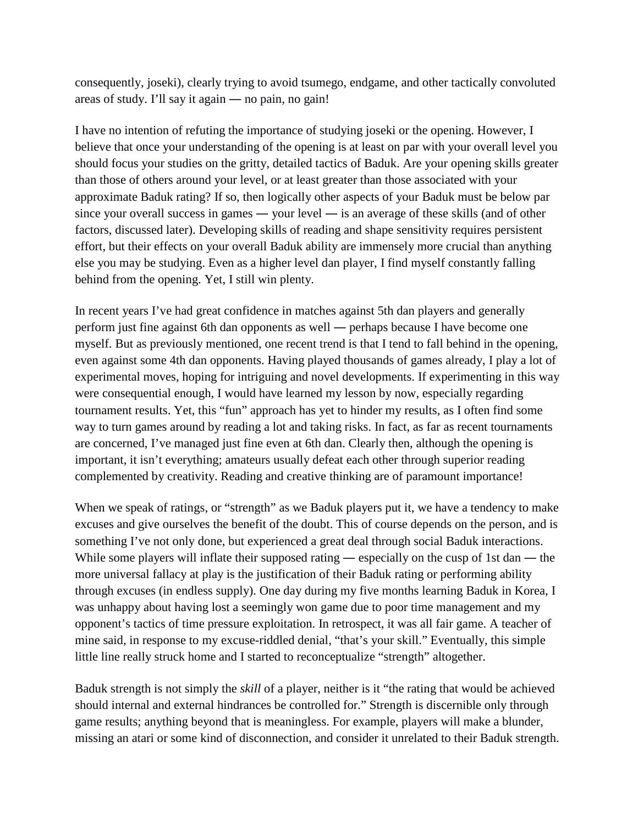consequently, joseki), clearly trying to avoid tsumego, endgame, and other tactically convoluted areas of study. I'll say it again ― no pain, no gain!

I have no intention of refuting the importance of studying joseki or the opening. However, I believe that once your understanding of the opening is at least on par with your overall level you should focus your studies on the gritty, detailed tactics of Baduk. Are your opening skills greater than those of others around your level, or at least greater than those associated with your approximate Baduk rating? If so, then logically other aspects of your Baduk must be below par since your overall success in games — your level — is an average of these skills (and of other factors, discussed later). Developing skills of reading and shape sensitivity requires persistent effort, but their effects on your overall Baduk ability are immensely more crucial than anything else you may be studying. Even as a higher level dan player, I find myself constantly falling behind from the opening. Yet, I still win plenty.

In recent years I've had great confidence in matches against 5th dan players and generally perform just fine against 6th dan opponents as well ― perhaps because I have become one myself. But as previously mentioned, one recent trend is that I tend to fall behind in the opening, even against some 4th dan opponents. Having played thousands of games already, I play a lot of experimental moves, hoping for intriguing and novel developments. If experimenting in this way were consequential enough, I would have learned my lesson by now, especially regarding tournament results. Yet, this "fun" approach has yet to hinder my results, as I often find some way to turn games around by reading a lot and taking risks. In fact, as far as recent tournaments are concerned, I've managed just fine even at 6th dan. Clearly then, although the opening is important, it isn't everything; amateurs usually defeat each other through superior reading complemented by creativity. Reading and creative thinking are of paramount importance!

When we speak of ratings, or "strength" as we Baduk players put it, we have a tendency to make excuses and give ourselves the benefit of the doubt. This of course depends on the person, and is something I've not only done, but experienced a great deal through social Baduk interactions. While some players will inflate their supposed rating — especially on the cusp of 1st dan — the more universal fallacy at play is the justification of their Baduk rating or performing ability through excuses (in endless supply). One day during my five months learning Baduk in Korea, I was unhappy about having lost a seemingly won game due to poor time management and my opponent's tactics of time pressure exploitation. In retrospect, it was all fair game. A teacher of mine said, in response to my excuse-riddled denial, "that's your skill." Eventually, this simple little line really struck home and I started to reconceptualize "strength" altogether.

Baduk strength is not simply the *skill* of a player, neither is it "the rating that would be achieved should internal and external hindrances be controlled for." Strength is discernible only through game results; anything beyond that is meaningless. For example, players will make a blunder, missing an atari or some kind of disconnection, and consider it unrelated to their Baduk strength.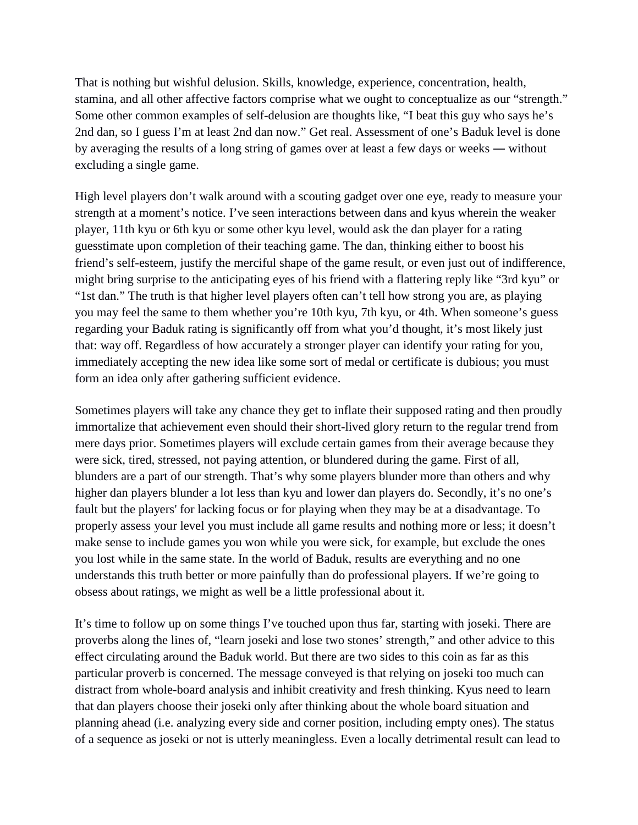That is nothing but wishful delusion. Skills, knowledge, experience, concentration, health, stamina, and all other affective factors comprise what we ought to conceptualize as our "strength." Some other common examples of self-delusion are thoughts like, "I beat this guy who says he's 2nd dan, so I guess I'm at least 2nd dan now." Get real. Assessment of one's Baduk level is done by averaging the results of a long string of games over at least a few days or weeks ― without excluding a single game.

High level players don't walk around with a scouting gadget over one eye, ready to measure your strength at a moment's notice. I've seen interactions between dans and kyus wherein the weaker player, 11th kyu or 6th kyu or some other kyu level, would ask the dan player for a rating guesstimate upon completion of their teaching game. The dan, thinking either to boost his friend's self-esteem, justify the merciful shape of the game result, or even just out of indifference, might bring surprise to the anticipating eyes of his friend with a flattering reply like "3rd kyu" or "1st dan." The truth is that higher level players often can't tell how strong you are, as playing you may feel the same to them whether you're 10th kyu, 7th kyu, or 4th. When someone's guess regarding your Baduk rating is significantly off from what you'd thought, it's most likely just that: way off. Regardless of how accurately a stronger player can identify your rating for you, immediately accepting the new idea like some sort of medal or certificate is dubious; you must form an idea only after gathering sufficient evidence.

Sometimes players will take any chance they get to inflate their supposed rating and then proudly immortalize that achievement even should their short-lived glory return to the regular trend from mere days prior. Sometimes players will exclude certain games from their average because they were sick, tired, stressed, not paying attention, or blundered during the game. First of all, blunders are a part of our strength. That's why some players blunder more than others and why higher dan players blunder a lot less than kyu and lower dan players do. Secondly, it's no one's fault but the players' for lacking focus or for playing when they may be at a disadvantage. To properly assess your level you must include all game results and nothing more or less; it doesn't make sense to include games you won while you were sick, for example, but exclude the ones you lost while in the same state. In the world of Baduk, results are everything and no one understands this truth better or more painfully than do professional players. If we're going to obsess about ratings, we might as well be a little professional about it.

It's time to follow up on some things I've touched upon thus far, starting with joseki. There are proverbs along the lines of, "learn joseki and lose two stones' strength," and other advice to this effect circulating around the Baduk world. But there are two sides to this coin as far as this particular proverb is concerned. The message conveyed is that relying on joseki too much can distract from whole-board analysis and inhibit creativity and fresh thinking. Kyus need to learn that dan players choose their joseki only after thinking about the whole board situation and planning ahead (i.e. analyzing every side and corner position, including empty ones). The status of a sequence as joseki or not is utterly meaningless. Even a locally detrimental result can lead to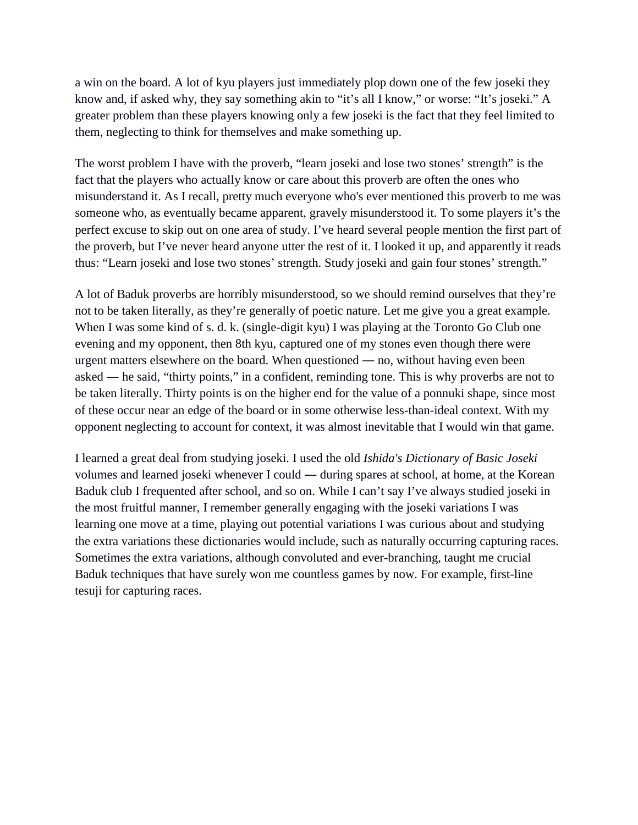a win on the board. A lot of kyu players just immediately plop down one of the few joseki they know and, if asked why, they say something akin to "it's all I know," or worse: "It's joseki." A greater problem than these players knowing only a few joseki is the fact that they feel limited to them, neglecting to think for themselves and make something up.

The worst problem I have with the proverb, "learn joseki and lose two stones' strength" is the fact that the players who actually know or care about this proverb are often the ones who misunderstand it. As I recall, pretty much everyone who's ever mentioned this proverb to me was someone who, as eventually became apparent, gravely misunderstood it. To some players it's the perfect excuse to skip out on one area of study. I've heard several people mention the first part of the proverb, but I've never heard anyone utter the rest of it. I looked it up, and apparently it reads thus: "Learn joseki and lose two stones' strength. Study joseki and gain four stones' strength."

A lot of Baduk proverbs are horribly misunderstood, so we should remind ourselves that they're not to be taken literally, as they're generally of poetic nature. Let me give you a great example. When I was some kind of s. d. k. (single-digit kyu) I was playing at the Toronto Go Club one evening and my opponent, then 8th kyu, captured one of my stones even though there were urgent matters elsewhere on the board. When questioned ― no, without having even been asked ― he said, "thirty points," in a confident, reminding tone. This is why proverbs are not to be taken literally. Thirty points is on the higher end for the value of a ponnuki shape, since most of these occur near an edge of the board or in some otherwise less-than-ideal context. With my opponent neglecting to account for context, it was almost inevitable that I would win that game.

I learned a great deal from studying joseki. I used the old *Ishida's Dictionary of Basic Joseki* volumes and learned joseki whenever I could ― during spares at school, at home, at the Korean Baduk club I frequented after school, and so on. While I can't say I've always studied joseki in the most fruitful manner, I remember generally engaging with the joseki variations I was learning one move at a time, playing out potential variations I was curious about and studying the extra variations these dictionaries would include, such as naturally occurring capturing races. Sometimes the extra variations, although convoluted and ever-branching, taught me crucial Baduk techniques that have surely won me countless games by now. For example, first-line tesuji for capturing races.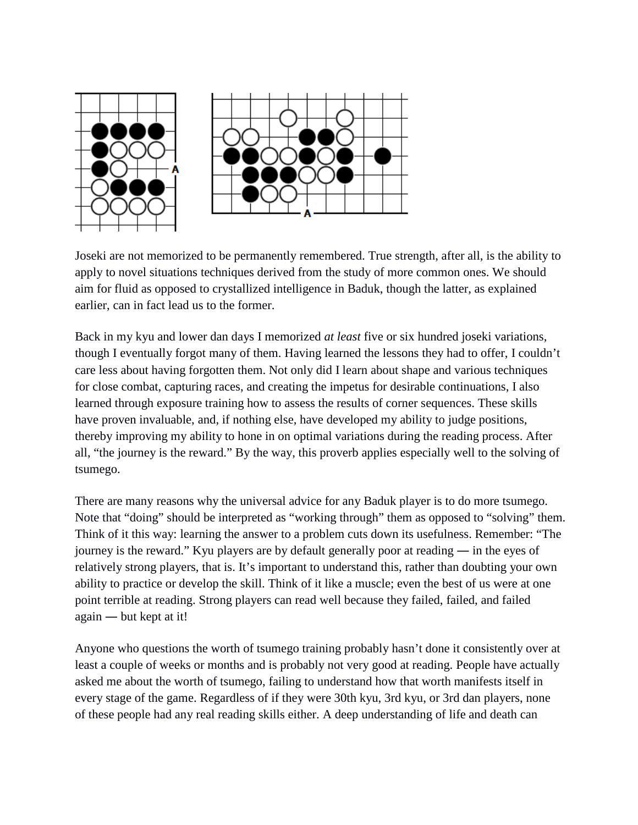



Joseki are not memorized to be permanently remembered. True strength, after all, is the ability to apply to novel situations techniques derived from the study of more common ones. We should aim for fluid as opposed to crystallized intelligence in Baduk, though the latter, as explained earlier, can in fact lead us to the former.

Back in my kyu and lower dan days I memorized *at least* five or six hundred joseki variations, though I eventually forgot many of them. Having learned the lessons they had to offer, I couldn't care less about having forgotten them. Not only did I learn about shape and various techniques for close combat, capturing races, and creating the impetus for desirable continuations, I also learned through exposure training how to assess the results of corner sequences. These skills have proven invaluable, and, if nothing else, have developed my ability to judge positions, thereby improving my ability to hone in on optimal variations during the reading process. After all, "the journey is the reward." By the way, this proverb applies especially well to the solving of tsumego.

There are many reasons why the universal advice for any Baduk player is to do more tsumego. Note that "doing" should be interpreted as "working through" them as opposed to "solving" them. Think of it this way: learning the answer to a problem cuts down its usefulness. Remember: "The journey is the reward." Kyu players are by default generally poor at reading ― in the eyes of relatively strong players, that is. It's important to understand this, rather than doubting your own ability to practice or develop the skill. Think of it like a muscle; even the best of us were at one point terrible at reading. Strong players can read well because they failed, failed, and failed again ― but kept at it!

Anyone who questions the worth of tsumego training probably hasn't done it consistently over at least a couple of weeks or months and is probably not very good at reading. People have actually asked me about the worth of tsumego, failing to understand how that worth manifests itself in every stage of the game. Regardless of if they were 30th kyu, 3rd kyu, or 3rd dan players, none of these people had any real reading skills either. A deep understanding of life and death can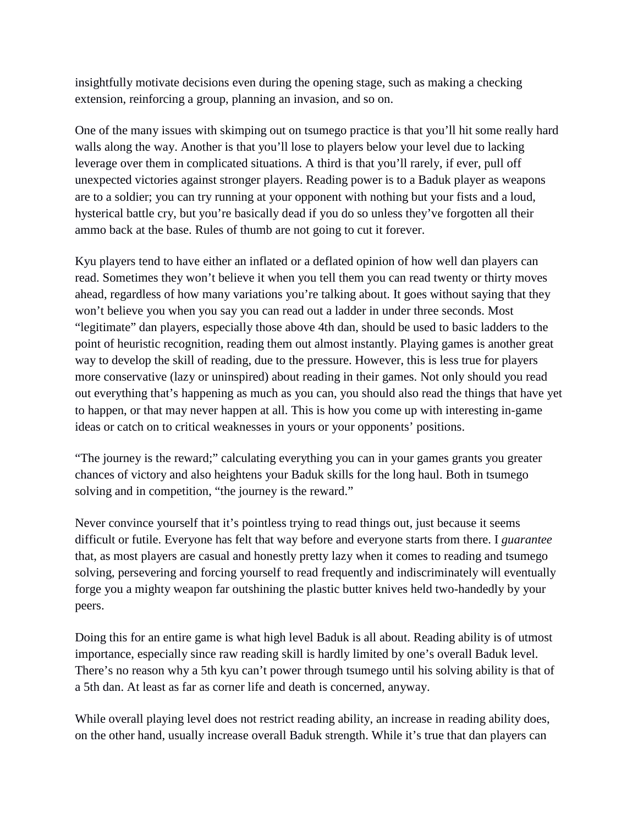insightfully motivate decisions even during the opening stage, such as making a checking extension, reinforcing a group, planning an invasion, and so on.

One of the many issues with skimping out on tsumego practice is that you'll hit some really hard walls along the way. Another is that you'll lose to players below your level due to lacking leverage over them in complicated situations. A third is that you'll rarely, if ever, pull off unexpected victories against stronger players. Reading power is to a Baduk player as weapons are to a soldier; you can try running at your opponent with nothing but your fists and a loud, hysterical battle cry, but you're basically dead if you do so unless they've forgotten all their ammo back at the base. Rules of thumb are not going to cut it forever.

Kyu players tend to have either an inflated or a deflated opinion of how well dan players can read. Sometimes they won't believe it when you tell them you can read twenty or thirty moves ahead, regardless of how many variations you're talking about. It goes without saying that they won't believe you when you say you can read out a ladder in under three seconds. Most "legitimate" dan players, especially those above 4th dan, should be used to basic ladders to the point of heuristic recognition, reading them out almost instantly. Playing games is another great way to develop the skill of reading, due to the pressure. However, this is less true for players more conservative (lazy or uninspired) about reading in their games. Not only should you read out everything that's happening as much as you can, you should also read the things that have yet to happen, or that may never happen at all. This is how you come up with interesting in-game ideas or catch on to critical weaknesses in yours or your opponents' positions.

"The journey is the reward;" calculating everything you can in your games grants you greater chances of victory and also heightens your Baduk skills for the long haul. Both in tsumego solving and in competition, "the journey is the reward."

Never convince yourself that it's pointless trying to read things out, just because it seems difficult or futile. Everyone has felt that way before and everyone starts from there. I *guarantee* that, as most players are casual and honestly pretty lazy when it comes to reading and tsumego solving, persevering and forcing yourself to read frequently and indiscriminately will eventually forge you a mighty weapon far outshining the plastic butter knives held two-handedly by your peers.

Doing this for an entire game is what high level Baduk is all about. Reading ability is of utmost importance, especially since raw reading skill is hardly limited by one's overall Baduk level. There's no reason why a 5th kyu can't power through tsumego until his solving ability is that of a 5th dan. At least as far as corner life and death is concerned, anyway.

While overall playing level does not restrict reading ability, an increase in reading ability does, on the other hand, usually increase overall Baduk strength. While it's true that dan players can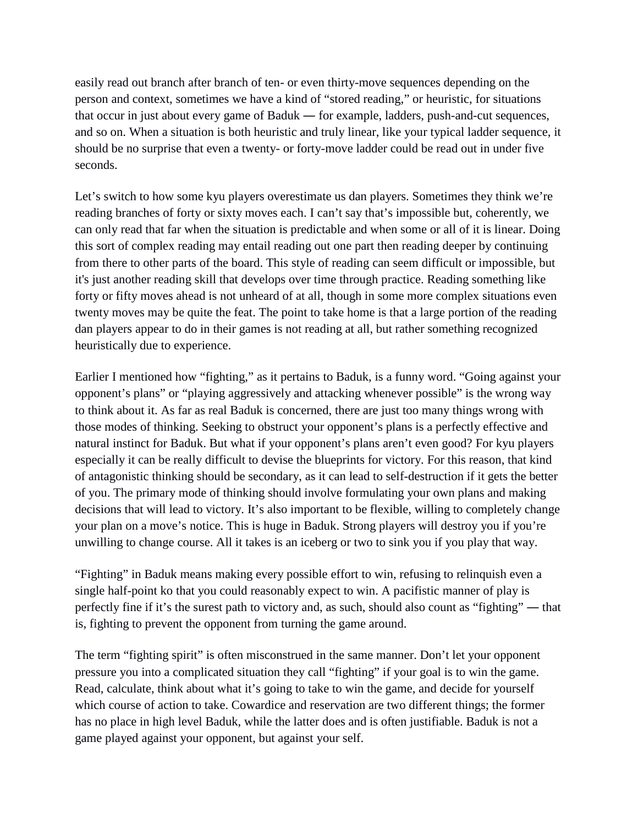easily read out branch after branch of ten- or even thirty-move sequences depending on the person and context, sometimes we have a kind of "stored reading," or heuristic, for situations that occur in just about every game of Baduk ― for example, ladders, push-and-cut sequences, and so on. When a situation is both heuristic and truly linear, like your typical ladder sequence, it should be no surprise that even a twenty- or forty-move ladder could be read out in under five seconds.

Let's switch to how some kyu players overestimate us dan players. Sometimes they think we're reading branches of forty or sixty moves each. I can't say that's impossible but, coherently, we can only read that far when the situation is predictable and when some or all of it is linear. Doing this sort of complex reading may entail reading out one part then reading deeper by continuing from there to other parts of the board. This style of reading can seem difficult or impossible, but it's just another reading skill that develops over time through practice. Reading something like forty or fifty moves ahead is not unheard of at all, though in some more complex situations even twenty moves may be quite the feat. The point to take home is that a large portion of the reading dan players appear to do in their games is not reading at all, but rather something recognized heuristically due to experience.

Earlier I mentioned how "fighting," as it pertains to Baduk, is a funny word. "Going against your opponent's plans" or "playing aggressively and attacking whenever possible" is the wrong way to think about it. As far as real Baduk is concerned, there are just too many things wrong with those modes of thinking. Seeking to obstruct your opponent's plans is a perfectly effective and natural instinct for Baduk. But what if your opponent's plans aren't even good? For kyu players especially it can be really difficult to devise the blueprints for victory. For this reason, that kind of antagonistic thinking should be secondary, as it can lead to self-destruction if it gets the better of you. The primary mode of thinking should involve formulating your own plans and making decisions that will lead to victory. It's also important to be flexible, willing to completely change your plan on a move's notice. This is huge in Baduk. Strong players will destroy you if you're unwilling to change course. All it takes is an iceberg or two to sink you if you play that way.

"Fighting" in Baduk means making every possible effort to win, refusing to relinquish even a single half-point ko that you could reasonably expect to win. A pacifistic manner of play is perfectly fine if it's the surest path to victory and, as such, should also count as "fighting" ― that is, fighting to prevent the opponent from turning the game around.

The term "fighting spirit" is often misconstrued in the same manner. Don't let your opponent pressure you into a complicated situation they call "fighting" if your goal is to win the game. Read, calculate, think about what it's going to take to win the game, and decide for yourself which course of action to take. Cowardice and reservation are two different things; the former has no place in high level Baduk, while the latter does and is often justifiable. Baduk is not a game played against your opponent, but against your self.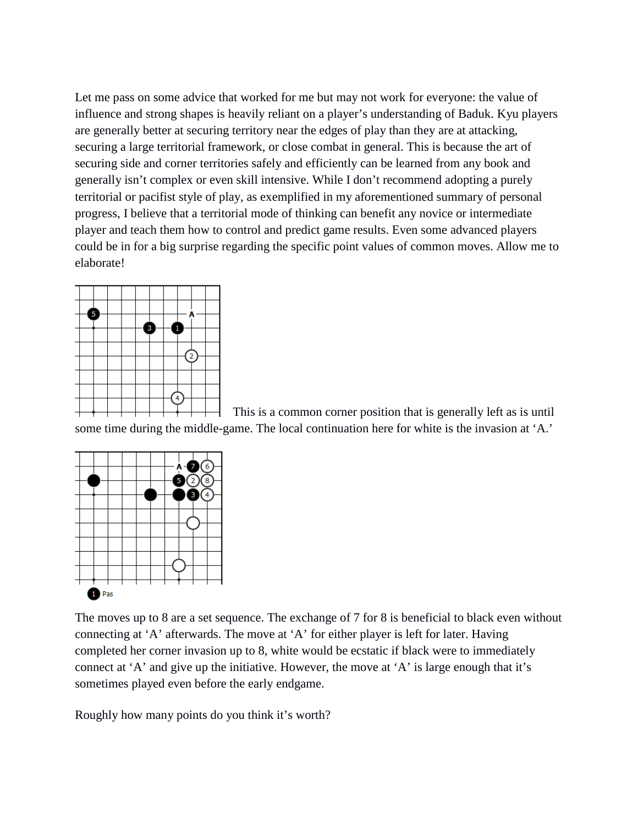Let me pass on some advice that worked for me but may not work for everyone: the value of influence and strong shapes is heavily reliant on a player's understanding of Baduk. Kyu players are generally better at securing territory near the edges of play than they are at attacking, securing a large territorial framework, or close combat in general. This is because the art of securing side and corner territories safely and efficiently can be learned from any book and generally isn't complex or even skill intensive. While I don't recommend adopting a purely territorial or pacifist style of play, as exemplified in my aforementioned summary of personal progress, I believe that a territorial mode of thinking can benefit any novice or intermediate player and teach them how to control and predict game results. Even some advanced players could be in for a big surprise regarding the specific point values of common moves. Allow me to elaborate!



This is a common corner position that is generally left as is until some time during the middle-game. The local continuation here for white is the invasion at 'A.'



The moves up to 8 are a set sequence. The exchange of 7 for 8 is beneficial to black even without connecting at 'A' afterwards. The move at 'A' for either player is left for later. Having completed her corner invasion up to 8, white would be ecstatic if black were to immediately connect at 'A' and give up the initiative. However, the move at 'A' is large enough that it's sometimes played even before the early endgame.

Roughly how many points do you think it's worth?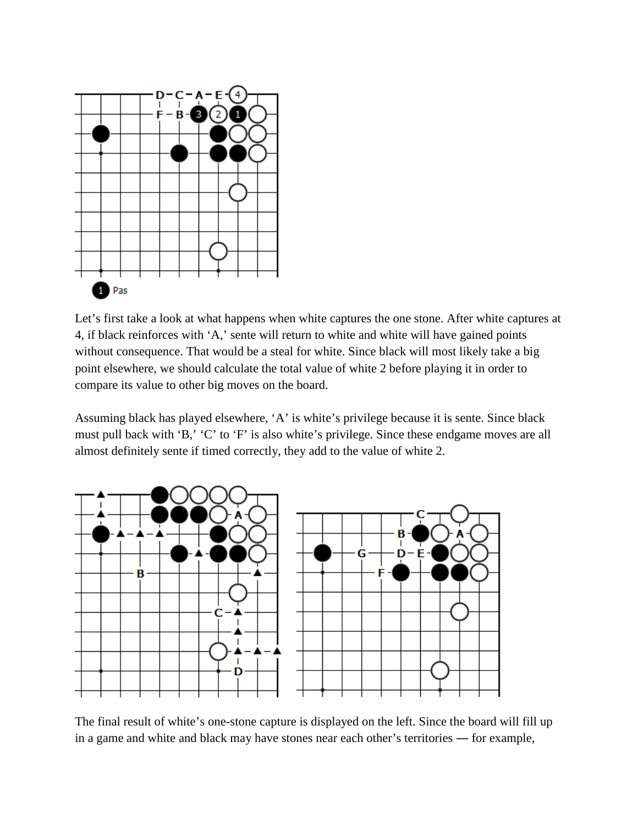

Let's first take a look at what happens when white captures the one stone. After white captures at 4, if black reinforces with 'A,' sente will return to white and white will have gained points without consequence. That would be a steal for white. Since black will most likely take a big point elsewhere, we should calculate the total value of white 2 before playing it in order to compare its value to other big moves on the board.

Assuming black has played elsewhere, 'A' is white's privilege because it is sente. Since black must pull back with 'B,' 'C' to 'F' is also white's privilege. Since these endgame moves are all almost definitely sente if timed correctly, they add to the value of white 2.



The final result of white's one-stone capture is displayed on the left. Since the board will fill up in a game and white and black may have stones near each other's territories ― for example,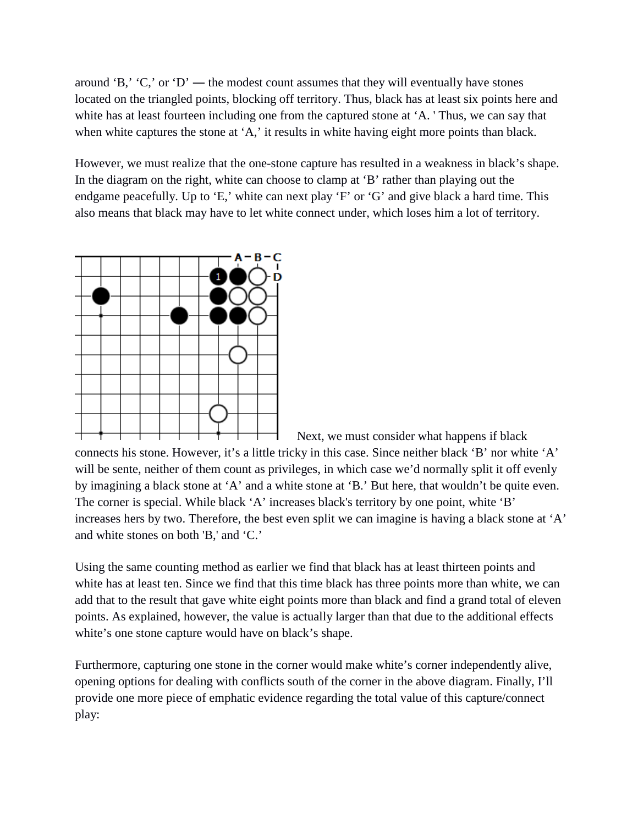around 'B,' 'C,' or 'D' — the modest count assumes that they will eventually have stones located on the triangled points, blocking off territory. Thus, black has at least six points here and white has at least fourteen including one from the captured stone at 'A. 'Thus, we can say that when white captures the stone at 'A,' it results in white having eight more points than black.

However, we must realize that the one-stone capture has resulted in a weakness in black's shape. In the diagram on the right, white can choose to clamp at 'B' rather than playing out the endgame peacefully. Up to 'E,' white can next play 'F' or 'G' and give black a hard time. This also means that black may have to let white connect under, which loses him a lot of territory.



Next, we must consider what happens if black connects his stone. However, it's a little tricky in this case. Since neither black 'B' nor white 'A' will be sente, neither of them count as privileges, in which case we'd normally split it off evenly by imagining a black stone at 'A' and a white stone at 'B.' But here, that wouldn't be quite even. The corner is special. While black 'A' increases black's territory by one point, white 'B' increases hers by two. Therefore, the best even split we can imagine is having a black stone at 'A' and white stones on both 'B,' and 'C.'

Using the same counting method as earlier we find that black has at least thirteen points and white has at least ten. Since we find that this time black has three points more than white, we can add that to the result that gave white eight points more than black and find a grand total of eleven points. As explained, however, the value is actually larger than that due to the additional effects white's one stone capture would have on black's shape.

Furthermore, capturing one stone in the corner would make white's corner independently alive, opening options for dealing with conflicts south of the corner in the above diagram. Finally, I'll provide one more piece of emphatic evidence regarding the total value of this capture/connect play: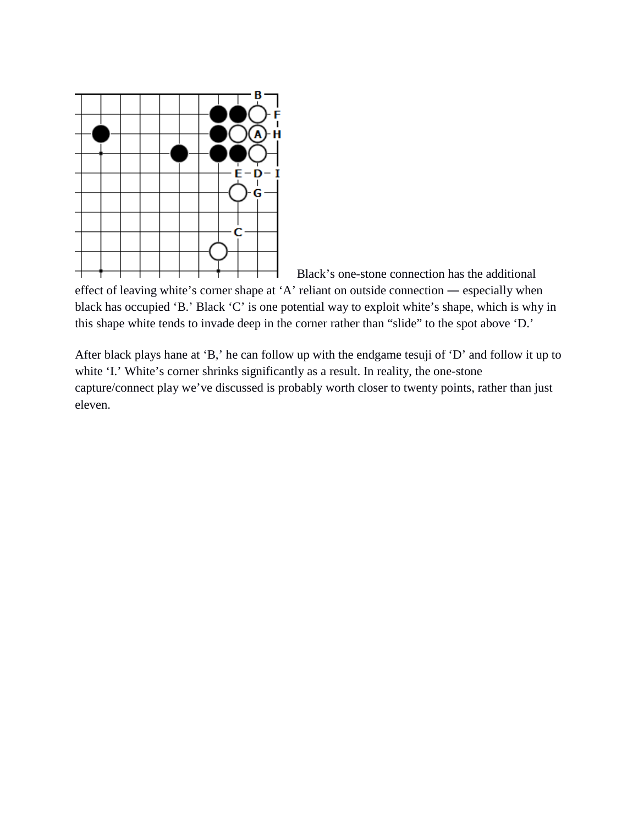

Black's one-stone connection has the additional

effect of leaving white's corner shape at 'A' reliant on outside connection ― especially when black has occupied 'B.' Black 'C' is one potential way to exploit white's shape, which is why in this shape white tends to invade deep in the corner rather than "slide" to the spot above 'D.'

After black plays hane at 'B,' he can follow up with the endgame tesuji of 'D' and follow it up to white 'I.' White's corner shrinks significantly as a result. In reality, the one-stone capture/connect play we've discussed is probably worth closer to twenty points, rather than just eleven.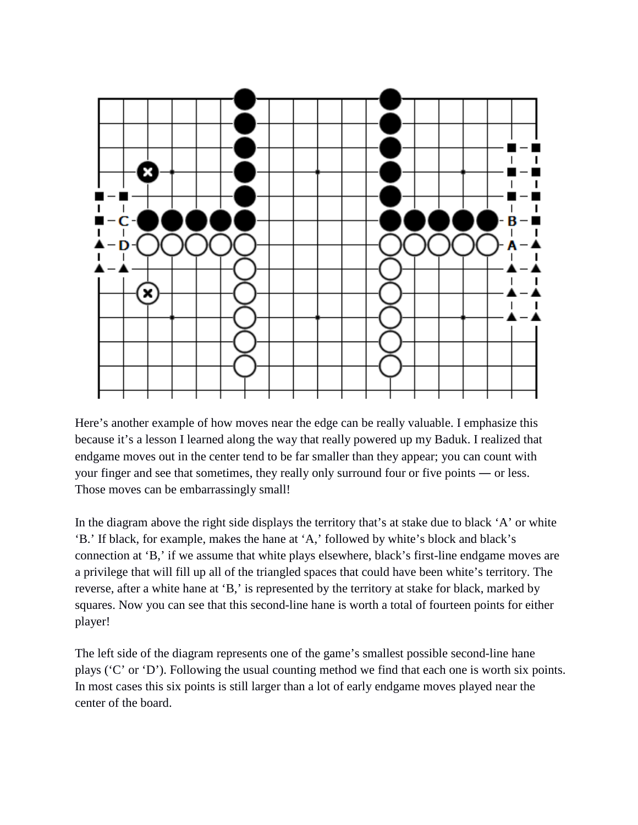

Here's another example of how moves near the edge can be really valuable. I emphasize this because it's a lesson I learned along the way that really powered up my Baduk. I realized that endgame moves out in the center tend to be far smaller than they appear; you can count with your finger and see that sometimes, they really only surround four or five points ― or less. Those moves can be embarrassingly small!

In the diagram above the right side displays the territory that's at stake due to black 'A' or white 'B.' If black, for example, makes the hane at 'A,' followed by white's block and black's connection at 'B,' if we assume that white plays elsewhere, black's first-line endgame moves are a privilege that will fill up all of the triangled spaces that could have been white's territory. The reverse, after a white hane at 'B,' is represented by the territory at stake for black, marked by squares. Now you can see that this second-line hane is worth a total of fourteen points for either player!

The left side of the diagram represents one of the game's smallest possible second-line hane plays ('C' or 'D'). Following the usual counting method we find that each one is worth six points. In most cases this six points is still larger than a lot of early endgame moves played near the center of the board.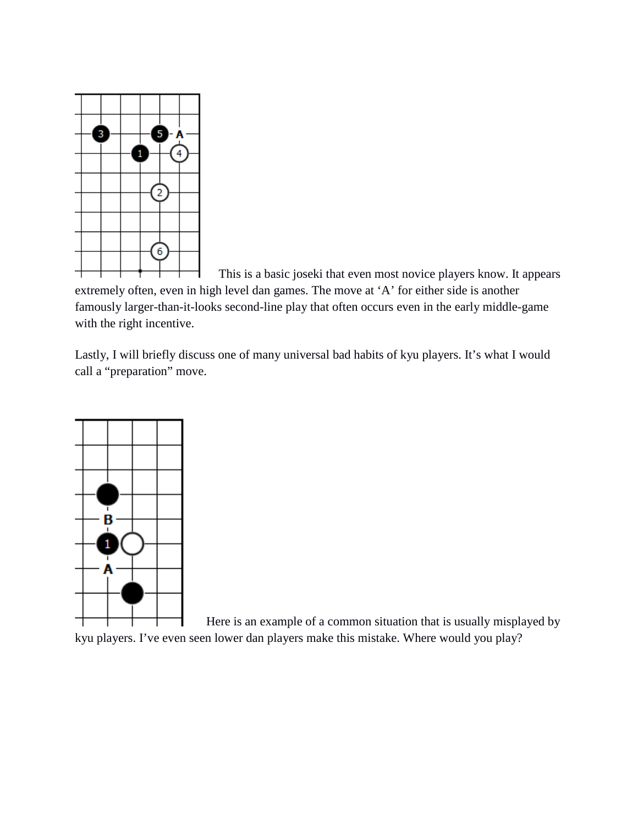

This is a basic joseki that even most novice players know. It appears

extremely often, even in high level dan games. The move at 'A' for either side is another famously larger-than-it-looks second-line play that often occurs even in the early middle-game with the right incentive.

Lastly, I will briefly discuss one of many universal bad habits of kyu players. It's what I would call a "preparation" move.



Here is an example of a common situation that is usually misplayed by kyu players. I've even seen lower dan players make this mistake. Where would you play?